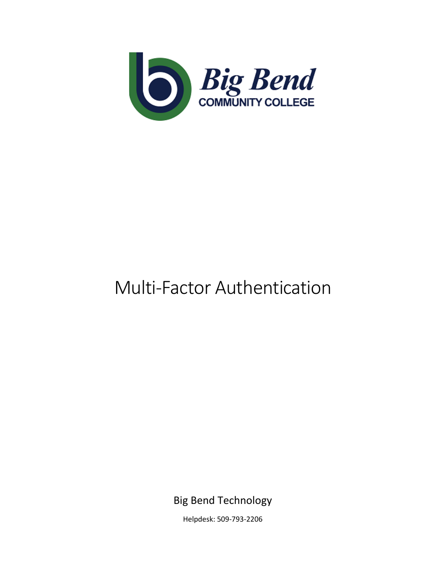

# Multi-Factor Authentication

Big Bend Technology

Helpdesk: 509-793-2206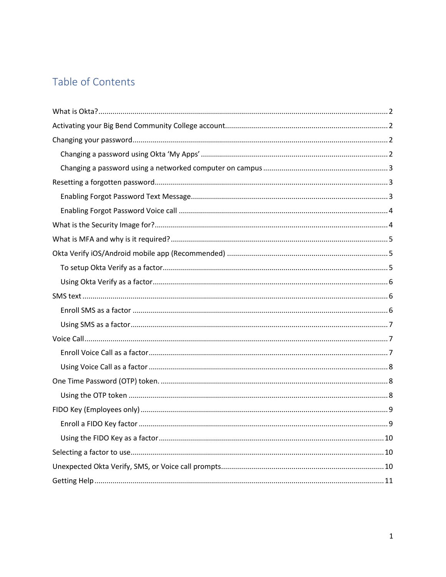# Table of Contents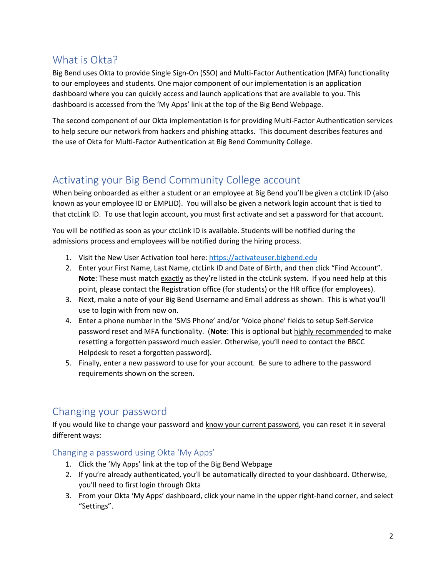# <span id="page-2-0"></span>What is Okta?

Big Bend uses Okta to provide Single Sign-On (SSO) and Multi-Factor Authentication (MFA) functionality to our employees and students. One major component of our implementation is an application dashboard where you can quickly access and launch applications that are available to you. This dashboard is accessed from the 'My Apps' link at the top of the Big Bend Webpage.

The second component of our Okta implementation is for providing Multi-Factor Authentication services to help secure our network from hackers and phishing attacks. This document describes features and the use of Okta for Multi-Factor Authentication at Big Bend Community College.

# <span id="page-2-1"></span>Activating your Big Bend Community College account

When being onboarded as either a student or an employee at Big Bend you'll be given a ctcLink ID (also known as your employee ID or EMPLID). You will also be given a network login account that is tied to that ctcLink ID. To use that login account, you must first activate and set a password for that account.

You will be notified as soon as your ctcLink ID is available. Students will be notified during the admissions process and employees will be notified during the hiring process.

- 1. Visit the New User Activation tool here: [https://activateuser.bigbend.edu](https://activateuser.bigbend.edu/)
- 2. Enter your First Name, Last Name, ctcLink ID and Date of Birth, and then click "Find Account". **Note**: These must match exactly as they're listed in the ctcLink system. If you need help at this point, please contact the Registration office (for students) or the HR office (for employees).
- 3. Next, make a note of your Big Bend Username and Email address as shown. This is what you'll use to login with from now on.
- 4. Enter a phone number in the 'SMS Phone' and/or 'Voice phone' fields to setup Self-Service password reset and MFA functionality. (**Note**: This is optional but highly recommended to make resetting a forgotten password much easier. Otherwise, you'll need to contact the BBCC Helpdesk to reset a forgotten password).
- 5. Finally, enter a new password to use for your account. Be sure to adhere to the password requirements shown on the screen.

# <span id="page-2-2"></span>Changing your password

If you would like to change your password and know your current password, you can reset it in several different ways:

<span id="page-2-3"></span>Changing a password using Okta 'My Apps'

- 1. Click the 'My Apps' link at the top of the Big Bend Webpage
- 2. If you're already authenticated, you'll be automatically directed to your dashboard. Otherwise, you'll need to first login through Okta
- 3. From your Okta 'My Apps' dashboard, click your name in the upper right-hand corner, and select "Settings".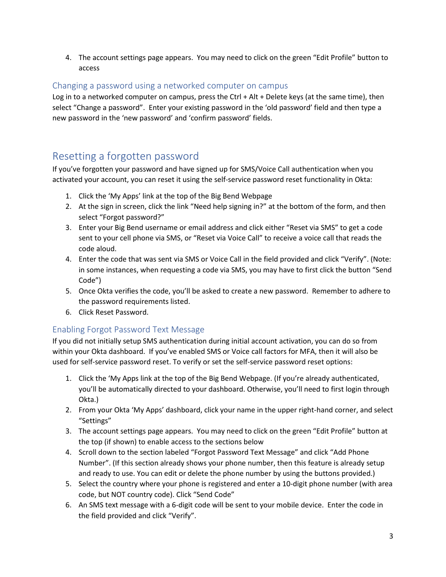4. The account settings page appears. You may need to click on the green "Edit Profile" button to access

#### <span id="page-3-0"></span>Changing a password using a networked computer on campus

Log in to a networked computer on campus, press the Ctrl + Alt + Delete keys (at the same time), then select "Change a password". Enter your existing password in the 'old password' field and then type a new password in the 'new password' and 'confirm password' fields.

# <span id="page-3-1"></span>Resetting a forgotten password

If you've forgotten your password and have signed up for SMS/Voice Call authentication when you activated your account, you can reset it using the self-service password reset functionality in Okta:

- 1. Click the 'My Apps' link at the top of the Big Bend Webpage
- 2. At the sign in screen, click the link "Need help signing in?" at the bottom of the form, and then select "Forgot password?"
- 3. Enter your Big Bend username or email address and click either "Reset via SMS" to get a code sent to your cell phone via SMS, or "Reset via Voice Call" to receive a voice call that reads the code aloud.
- 4. Enter the code that was sent via SMS or Voice Call in the field provided and click "Verify". (Note: in some instances, when requesting a code via SMS, you may have to first click the button "Send Code")
- 5. Once Okta verifies the code, you'll be asked to create a new password. Remember to adhere to the password requirements listed.
- 6. Click Reset Password.

#### <span id="page-3-2"></span>Enabling Forgot Password Text Message

If you did not initially setup SMS authentication during initial account activation, you can do so from within your Okta dashboard. If you've enabled SMS or Voice call factors for MFA, then it will also be used for self-service password reset. To verify or set the self-service password reset options:

- 1. Click the 'My Apps link at the top of the Big Bend Webpage. (If you're already authenticated, you'll be automatically directed to your dashboard. Otherwise, you'll need to first login through Okta.)
- 2. From your Okta 'My Apps' dashboard, click your name in the upper right-hand corner, and select "Settings"
- 3. The account settings page appears. You may need to click on the green "Edit Profile" button at the top (if shown) to enable access to the sections below
- 4. Scroll down to the section labeled "Forgot Password Text Message" and click "Add Phone Number". (If this section already shows your phone number, then this feature is already setup and ready to use. You can edit or delete the phone number by using the buttons provided.)
- 5. Select the country where your phone is registered and enter a 10-digit phone number (with area code, but NOT country code). Click "Send Code"
- 6. An SMS text message with a 6-digit code will be sent to your mobile device. Enter the code in the field provided and click "Verify".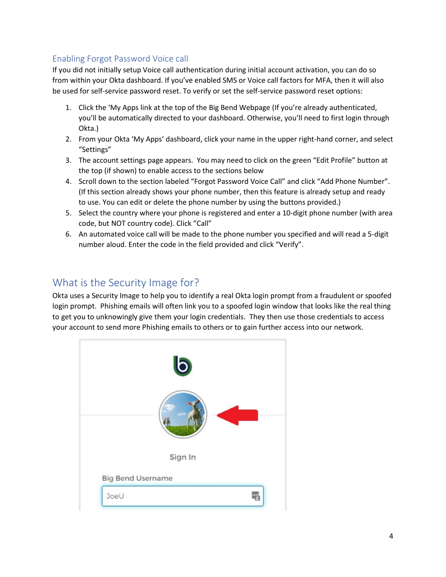### <span id="page-4-0"></span>Enabling Forgot Password Voice call

If you did not initially setup Voice call authentication during initial account activation, you can do so from within your Okta dashboard. If you've enabled SMS or Voice call factors for MFA, then it will also be used for self-service password reset. To verify or set the self-service password reset options:

- 1. Click the 'My Apps link at the top of the Big Bend Webpage (If you're already authenticated, you'll be automatically directed to your dashboard. Otherwise, you'll need to first login through Okta.)
- 2. From your Okta 'My Apps' dashboard, click your name in the upper right-hand corner, and select "Settings"
- 3. The account settings page appears. You may need to click on the green "Edit Profile" button at the top (if shown) to enable access to the sections below
- 4. Scroll down to the section labeled "Forgot Password Voice Call" and click "Add Phone Number". (If this section already shows your phone number, then this feature is already setup and ready to use. You can edit or delete the phone number by using the buttons provided.)
- 5. Select the country where your phone is registered and enter a 10-digit phone number (with area code, but NOT country code). Click "Call"
- 6. An automated voice call will be made to the phone number you specified and will read a 5-digit number aloud. Enter the code in the field provided and click "Verify".

# <span id="page-4-1"></span>What is the Security Image for?

Okta uses a Security Image to help you to identify a real Okta login prompt from a fraudulent or spoofed login prompt. Phishing emails will often link you to a spoofed login window that looks like the real thing to get you to unknowingly give them your login credentials. They then use those credentials to access your account to send more Phishing emails to others or to gain further access into our network.

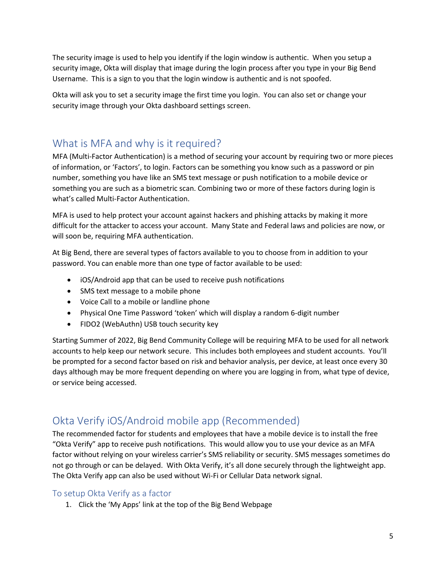The security image is used to help you identify if the login window is authentic. When you setup a security image, Okta will display that image during the login process after you type in your Big Bend Username. This is a sign to you that the login window is authentic and is not spoofed.

Okta will ask you to set a security image the first time you login. You can also set or change your security image through your Okta dashboard settings screen.

### <span id="page-5-0"></span>What is MFA and why is it required?

MFA (Multi-Factor Authentication) is a method of securing your account by requiring two or more pieces of information, or 'Factors', to login. Factors can be something you know such as a password or pin number, something you have like an SMS text message or push notification to a mobile device or something you are such as a biometric scan. Combining two or more of these factors during login is what's called Multi-Factor Authentication.

MFA is used to help protect your account against hackers and phishing attacks by making it more difficult for the attacker to access your account. Many State and Federal laws and policies are now, or will soon be, requiring MFA authentication.

At Big Bend, there are several types of factors available to you to choose from in addition to your password. You can enable more than one type of factor available to be used:

- iOS/Android app that can be used to receive push notifications
- SMS text message to a mobile phone
- Voice Call to a mobile or landline phone
- Physical One Time Password 'token' which will display a random 6-digit number
- FIDO2 (WebAuthn) USB touch security key

Starting Summer of 2022, Big Bend Community College will be requiring MFA to be used for all network accounts to help keep our network secure. This includes both employees and student accounts. You'll be prompted for a second factor based on risk and behavior analysis, per device, at least once every 30 days although may be more frequent depending on where you are logging in from, what type of device, or service being accessed.

# <span id="page-5-1"></span>Okta Verify iOS/Android mobile app (Recommended)

The recommended factor for students and employees that have a mobile device is to install the free "Okta Verify" app to receive push notifications. This would allow you to use your device as an MFA factor without relying on your wireless carrier's SMS reliability or security. SMS messages sometimes do not go through or can be delayed. With Okta Verify, it's all done securely through the lightweight app. The Okta Verify app can also be used without Wi-Fi or Cellular Data network signal.

#### <span id="page-5-2"></span>To setup Okta Verify as a factor

1. Click the 'My Apps' link at the top of the Big Bend Webpage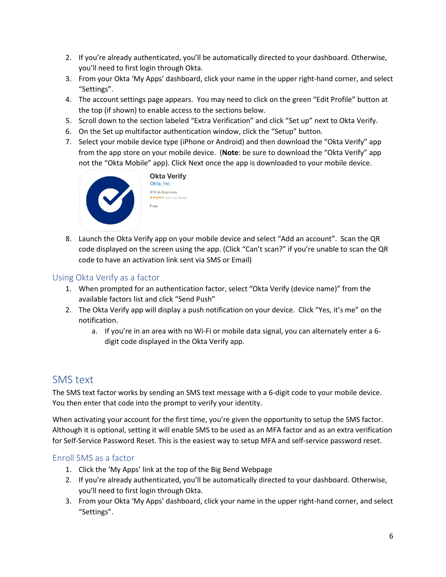- 2. If you're already authenticated, you'll be automatically directed to your dashboard. Otherwise, you'll need to first login through Okta.
- 3. From your Okta 'My Apps' dashboard, click your name in the upper right-hand corner, and select "Settings".
- 4. The account settings page appears. You may need to click on the green "Edit Profile" button at the top (if shown) to enable access to the sections below.
- 5. Scroll down to the section labeled "Extra Verification" and click "Set up" next to Okta Verify.
- 6. On the Set up multifactor authentication window, click the "Setup" button.
- 7. Select your mobile device type (iPhone or Android) and then download the "Okta Verify" app from the app store on your mobile device. (**Note**: be sure to download the "Okta Verify" app not the "Okta Mobile" app). Click Next once the app is downloaded to your mobile device.



8. Launch the Okta Verify app on your mobile device and select "Add an account". Scan the QR code displayed on the screen using the app. (Click "Can't scan?" if you're unable to scan the QR code to have an activation link sent via SMS or Email)

#### <span id="page-6-0"></span>Using Okta Verify as a factor

- 1. When prompted for an authentication factor, select "Okta Verify (device name)" from the available factors list and click "Send Push"
- 2. The Okta Verify app will display a push notification on your device. Click "Yes, it's me" on the notification.
	- a. If you're in an area with no Wi-Fi or mobile data signal, you can alternately enter a 6 digit code displayed in the Okta Verify app.

### <span id="page-6-1"></span>SMS text

The SMS text factor works by sending an SMS text message with a 6-digit code to your mobile device. You then enter that code into the prompt to verify your identity.

When activating your account for the first time, you're given the opportunity to setup the SMS factor. Although it is optional, setting it will enable SMS to be used as an MFA factor and as an extra verification for Self-Service Password Reset. This is the easiest way to setup MFA and self-service password reset.

#### <span id="page-6-2"></span>Enroll SMS as a factor

- 1. Click the 'My Apps' link at the top of the Big Bend Webpage
- 2. If you're already authenticated, you'll be automatically directed to your dashboard. Otherwise, you'll need to first login through Okta.
- 3. From your Okta 'My Apps' dashboard, click your name in the upper right-hand corner, and select "Settings".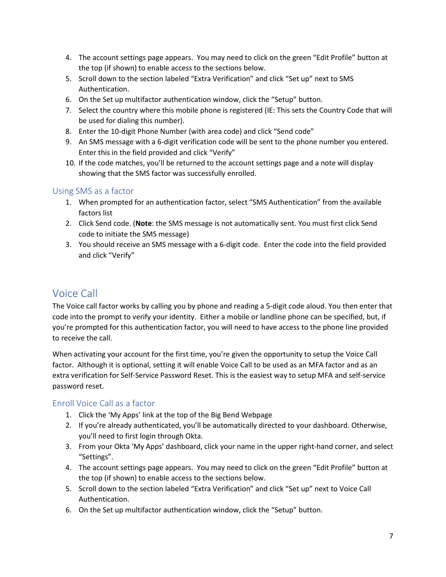- 4. The account settings page appears. You may need to click on the green "Edit Profile" button at the top (if shown) to enable access to the sections below.
- 5. Scroll down to the section labeled "Extra Verification" and click "Set up" next to SMS Authentication.
- 6. On the Set up multifactor authentication window, click the "Setup" button.
- 7. Select the country where this mobile phone is registered (IE: This sets the Country Code that will be used for dialing this number).
- 8. Enter the 10-digit Phone Number (with area code) and click "Send code"
- 9. An SMS message with a 6-digit verification code will be sent to the phone number you entered. Enter this in the field provided and click "Verify"
- 10. If the code matches, you'll be returned to the account settings page and a note will display showing that the SMS factor was successfully enrolled.

#### <span id="page-7-0"></span>Using SMS as a factor

- 1. When prompted for an authentication factor, select "SMS Authentication" from the available factors list
- 2. Click Send code. (**Note**: the SMS message is not automatically sent. You must first click Send code to initiate the SMS message)
- 3. You should receive an SMS message with a 6-digit code. Enter the code into the field provided and click "Verify"

# <span id="page-7-1"></span>Voice Call

The Voice call factor works by calling you by phone and reading a 5-digit code aloud. You then enter that code into the prompt to verify your identity. Either a mobile or landline phone can be specified, but, if you're prompted for this authentication factor, you will need to have access to the phone line provided to receive the call.

When activating your account for the first time, you're given the opportunity to setup the Voice Call factor. Although it is optional, setting it will enable Voice Call to be used as an MFA factor and as an extra verification for Self-Service Password Reset. This is the easiest way to setup MFA and self-service password reset.

#### <span id="page-7-2"></span>Enroll Voice Call as a factor

- 1. Click the 'My Apps' link at the top of the Big Bend Webpage
- 2. If you're already authenticated, you'll be automatically directed to your dashboard. Otherwise, you'll need to first login through Okta.
- 3. From your Okta 'My Apps' dashboard, click your name in the upper right-hand corner, and select "Settings".
- 4. The account settings page appears. You may need to click on the green "Edit Profile" button at the top (if shown) to enable access to the sections below.
- 5. Scroll down to the section labeled "Extra Verification" and click "Set up" next to Voice Call Authentication.
- 6. On the Set up multifactor authentication window, click the "Setup" button.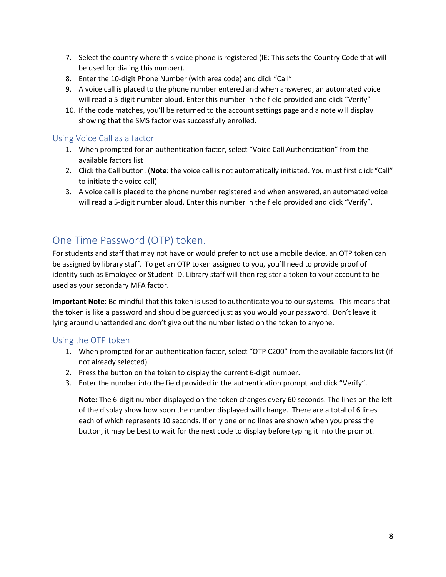- 7. Select the country where this voice phone is registered (IE: This sets the Country Code that will be used for dialing this number).
- 8. Enter the 10-digit Phone Number (with area code) and click "Call"
- 9. A voice call is placed to the phone number entered and when answered, an automated voice will read a 5-digit number aloud. Enter this number in the field provided and click "Verify"
- 10. If the code matches, you'll be returned to the account settings page and a note will display showing that the SMS factor was successfully enrolled.

#### <span id="page-8-0"></span>Using Voice Call as a factor

- 1. When prompted for an authentication factor, select "Voice Call Authentication" from the available factors list
- 2. Click the Call button. (**Note**: the voice call is not automatically initiated. You must first click "Call" to initiate the voice call)
- 3. A voice call is placed to the phone number registered and when answered, an automated voice will read a 5-digit number aloud. Enter this number in the field provided and click "Verify".

### <span id="page-8-1"></span>One Time Password (OTP) token.

For students and staff that may not have or would prefer to not use a mobile device, an OTP token can be assigned by library staff. To get an OTP token assigned to you, you'll need to provide proof of identity such as Employee or Student ID. Library staff will then register a token to your account to be used as your secondary MFA factor.

**Important Note**: Be mindful that this token is used to authenticate you to our systems. This means that the token is like a password and should be guarded just as you would your password. Don't leave it lying around unattended and don't give out the number listed on the token to anyone.

#### <span id="page-8-2"></span>Using the OTP token

- 1. When prompted for an authentication factor, select "OTP C200" from the available factors list (if not already selected)
- 2. Press the button on the token to display the current 6-digit number.
- 3. Enter the number into the field provided in the authentication prompt and click "Verify".

**Note:** The 6-digit number displayed on the token changes every 60 seconds. The lines on the left of the display show how soon the number displayed will change. There are a total of 6 lines each of which represents 10 seconds. If only one or no lines are shown when you press the button, it may be best to wait for the next code to display before typing it into the prompt.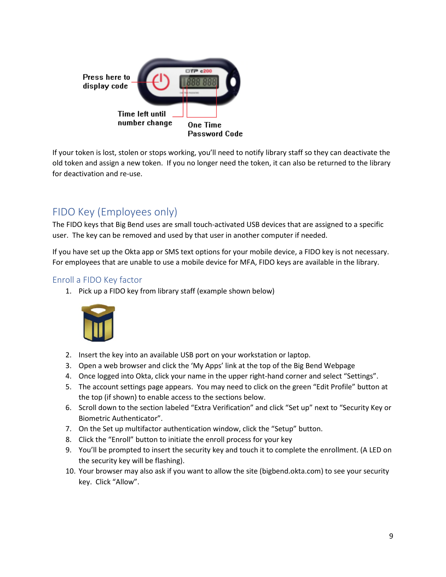

If your token is lost, stolen or stops working, you'll need to notify library staff so they can deactivate the old token and assign a new token. If you no longer need the token, it can also be returned to the library for deactivation and re-use.

# <span id="page-9-0"></span>FIDO Key (Employees only)

The FIDO keys that Big Bend uses are small touch-activated USB devices that are assigned to a specific user. The key can be removed and used by that user in another computer if needed.

If you have set up the Okta app or SMS text options for your mobile device, a FIDO key is not necessary. For employees that are unable to use a mobile device for MFA, FIDO keys are available in the library.

#### <span id="page-9-1"></span>Enroll a FIDO Key factor

1. Pick up a FIDO key from library staff (example shown below)



- 2. Insert the key into an available USB port on your workstation or laptop.
- 3. Open a web browser and click the 'My Apps' link at the top of the Big Bend Webpage
- 4. Once logged into Okta, click your name in the upper right-hand corner and select "Settings".
- 5. The account settings page appears. You may need to click on the green "Edit Profile" button at the top (if shown) to enable access to the sections below.
- 6. Scroll down to the section labeled "Extra Verification" and click "Set up" next to "Security Key or Biometric Authenticator".
- 7. On the Set up multifactor authentication window, click the "Setup" button.
- 8. Click the "Enroll" button to initiate the enroll process for your key
- 9. You'll be prompted to insert the security key and touch it to complete the enrollment. (A LED on the security key will be flashing).
- 10. Your browser may also ask if you want to allow the site (bigbend.okta.com) to see your security key. Click "Allow".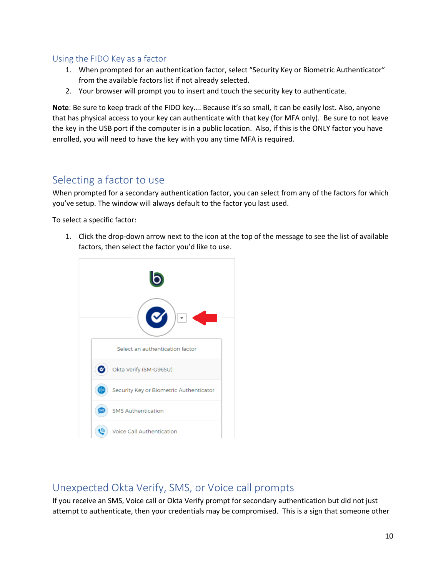#### <span id="page-10-0"></span>Using the FIDO Key as a factor

- 1. When prompted for an authentication factor, select "Security Key or Biometric Authenticator" from the available factors list if not already selected.
- 2. Your browser will prompt you to insert and touch the security key to authenticate.

**Note**: Be sure to keep track of the FIDO key…. Because it's so small, it can be easily lost. Also, anyone that has physical access to your key can authenticate with that key (for MFA only). Be sure to not leave the key in the USB port if the computer is in a public location. Also, if this is the ONLY factor you have enrolled, you will need to have the key with you any time MFA is required.

# <span id="page-10-1"></span>Selecting a factor to use

When prompted for a secondary authentication factor, you can select from any of the factors for which you've setup. The window will always default to the factor you last used.

To select a specific factor:

1. Click the drop-down arrow next to the icon at the top of the message to see the list of available factors, then select the factor you'd like to use.



# <span id="page-10-2"></span>Unexpected Okta Verify, SMS, or Voice call prompts

If you receive an SMS, Voice call or Okta Verify prompt for secondary authentication but did not just attempt to authenticate, then your credentials may be compromised. This is a sign that someone other